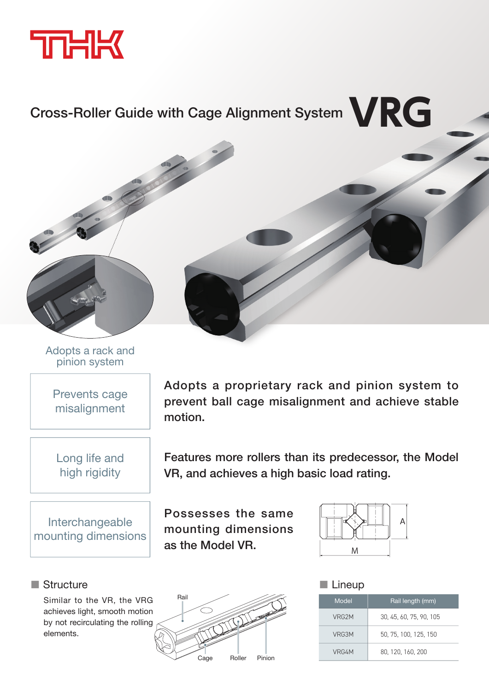

## Cross-Roller Guide with Cage Alignment System **VRG**



Adopts a rack and pinion system

Prevents cage misalignment

Long life and high rigidity

 Interchangeable mounting dimensions

## ■ Structure

Similar to the VR, the VRG achieves light, smooth motion by not recirculating the rolling .elements



Features more rollers than its predecessor, the Model VR, and achieves a high basic load rating.

Possesses the same mounting dimensions as the Model VR.



## ■ Lineup

| Model              | Rail length (mm)        |
|--------------------|-------------------------|
| VRG <sub>2</sub> M | 30, 45, 60, 75, 90, 105 |
| VRG3M              | 50, 75, 100, 125, 150   |
| VRG4M              | 80, 120, 160, 200       |